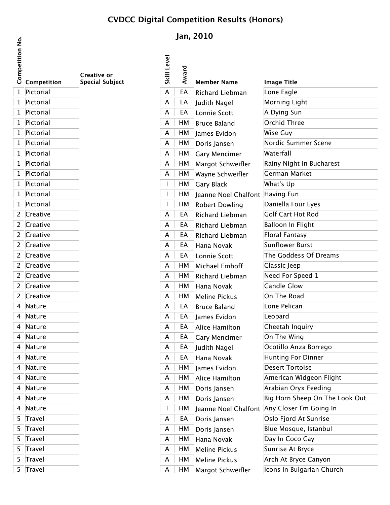## **CVDCC Digital Competition Results (Honors)**

|   | Competit  |
|---|-----------|
| 1 | Pictorial |
| 1 | Pictorial |
| 1 | Pictorial |
| 1 | Pictorial |
| 1 | Pictorial |
| 1 | Pictorial |
| 1 | Pictorial |
| 1 | Pictorial |
| 1 | Pictorial |

| Compe          | Competition     | Creative or<br><b>Special Subject</b> |
|----------------|-----------------|---------------------------------------|
| $\mathbf{1}$   | Pictorial       |                                       |
| 1              | Pictorial       |                                       |
| 1              | Pictorial       |                                       |
| 1              | Pictorial       |                                       |
| 1              | Pictorial       |                                       |
| 1              | Pictorial       |                                       |
| 1              | Pictorial       |                                       |
| 1              | Pictorial       |                                       |
| 1              | Pictorial       |                                       |
| 1              | Pictorial       |                                       |
| 1              | Pictorial       |                                       |
| 1              | Pictorial       |                                       |
| $\overline{c}$ | Creative        |                                       |
| 2              | <b>Creative</b> |                                       |
| 2              | Creative        |                                       |
| 2              | Creative        |                                       |
| $\overline{c}$ | <b>Creative</b> |                                       |
| 2              | Creative        |                                       |
| 2              | Creative        |                                       |
| $\overline{2}$ | Creative        |                                       |
| 2              | Creative        |                                       |
| 4              | Nature          |                                       |
| 4              | Nature          |                                       |
| 4              | Nature          |                                       |
| 4              | Nature          |                                       |
| 4              | Nature          |                                       |
| 4              | Nature          |                                       |
| 4              | Nature          |                                       |
| 4              | Nature          |                                       |
| 4              | Nature          |                                       |
| 4              | Nature          |                                       |
| 4              | Nature          |                                       |
| 5              | Travel          |                                       |
| 5              | Travel          |                                       |
| 5              | Travel          |                                       |
| 5              | Travel          |                                       |
| 5              | Travel          |                                       |

## **Jan, 2010**

| Competitio |             |                                              | Level |       |                                 |                                              |
|------------|-------------|----------------------------------------------|-------|-------|---------------------------------|----------------------------------------------|
|            | Competition | <b>Creative or</b><br><b>Special Subject</b> | Skill | Award | <b>Member Name</b>              | <b>Image Title</b>                           |
|            | 1 Pictorial |                                              | A     | EA    | Richard Liebman                 | Lone Eagle                                   |
|            | 1 Pictorial |                                              | A     | EA    | Judith Nagel                    | Morning Light                                |
|            | 1 Pictorial |                                              | A     | EA    | Lonnie Scott                    | A Dying Sun                                  |
|            | 1 Pictorial |                                              | A     | HM    | <b>Bruce Baland</b>             | Orchid Three                                 |
|            | 1 Pictorial |                                              | A     | HM    | James Evidon                    | Wise Guy                                     |
|            | 1 Pictorial |                                              | A     | HМ    | Doris Jansen                    | Nordic Summer Scene                          |
|            | 1 Pictorial |                                              | A     | HМ    | <b>Gary Mencimer</b>            | Waterfall                                    |
|            | 1 Pictorial |                                              | A     | НM    | Margot Schweifler               | Rainy Night In Bucharest                     |
|            | 1 Pictorial |                                              | A     | HМ    | Wayne Schweifler                | German Market                                |
|            | 1 Pictorial |                                              |       | HМ    | <b>Gary Black</b>               | What's Up                                    |
|            | 1 Pictorial |                                              |       | HM    | Jeanne Noel Chalfont Having Fun |                                              |
|            | 1 Pictorial |                                              |       | HМ    | <b>Robert Dowling</b>           | Daniella Four Eyes                           |
|            | 2 Creative  |                                              | A     | EA    | Richard Liebman                 | Golf Cart Hot Rod                            |
|            | 2 Creative  |                                              | A     | EA    | <b>Richard Liebman</b>          | Balloon In Flight                            |
|            | 2 Creative  |                                              | A     | EA    | Richard Liebman                 | Floral Fantasy                               |
|            | 2 Creative  |                                              | A     | EA    | Hana Novak                      | Sunflower Burst                              |
|            | 2 Creative  |                                              | A     | EA    | Lonnie Scott                    | The Goddess Of Dreams                        |
|            | 2 Creative  |                                              | A     | HМ    | Michael Emhoff                  | Classic Jeep                                 |
|            | 2 Creative  |                                              | A     | HM    | Richard Liebman                 | Need For Speed 1                             |
|            | 2 Creative  |                                              | A     | HM    | Hana Novak                      | Candle Glow                                  |
|            | 2 Creative  |                                              | A     | HМ    | <b>Meline Pickus</b>            | On The Road                                  |
|            | 4 Nature    |                                              | A     | EA    | <b>Bruce Baland</b>             | Lone Pelican                                 |
|            | 4 Nature    |                                              | A     | EA    | James Evidon                    | Leopard                                      |
|            | 4 Nature    |                                              | A     | EA    | Alice Hamilton                  | Cheetah Inquiry                              |
|            | 4 Nature    |                                              | А     | EA    | <b>Gary Mencimer</b>            | On The Wing                                  |
|            | 4 Nature    |                                              | A     | EA    | Judith Nagel                    | Ocotillo Anza Borrego                        |
|            | 4 Nature    |                                              | A     | EA    | Hana Novak                      | <b>Hunting For Dinner</b>                    |
|            | 4 Nature    |                                              | A     | НM    | James Evidon                    | <b>Desert Tortoise</b>                       |
|            | 4 Nature    |                                              | A     | HM    | Alice Hamilton                  | American Widgeon Flight                      |
|            | 4 Nature    |                                              | A     | HМ    | Doris Jansen                    | Arabian Oryx Feeding                         |
|            | 4 Nature    |                                              | A     | НM    | Doris Jansen                    | Big Horn Sheep On The Look Out               |
|            | 4 Nature    |                                              |       | HM    |                                 | Jeanne Noel Chalfont Any Closer I'm Going In |
|            | 5 Travel    |                                              | A     | EA    | Doris Jansen                    | Oslo Fjord At Sunrise                        |
|            | 5 Travel    |                                              | A     | HM    | Doris Jansen                    | Blue Mosque, Istanbul                        |
|            | 5 Travel    |                                              | A     | HM    | Hana Novak                      | Day In Coco Cay                              |
|            | 5 Travel    |                                              | A     | HМ    | <b>Meline Pickus</b>            | Sunrise At Bryce                             |
|            | 5 Travel    |                                              | A     | HM    | <b>Meline Pickus</b>            | Arch At Bryce Canyon                         |
| 5          | Travel      |                                              | A     | HМ    | Margot Schweifler               | Icons In Bulgarian Church                    |